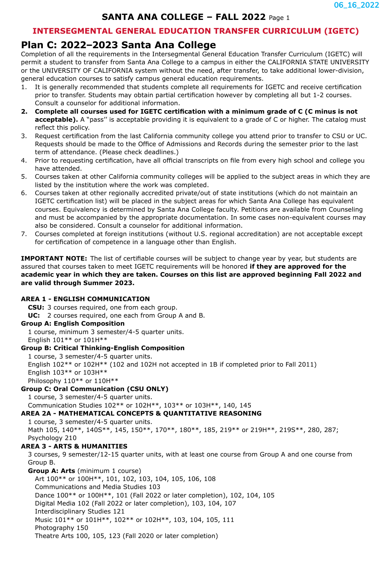# **SANTA ANA COLLEGE – FALL 2022** Page 1

## **INTERSEGMENTAL GENERAL EDUCATION TRANSFER CURRICULUM (IGETC)**

# **Plan C: 2022–2023 Santa Ana College**

Completion of all the requirements in the Intersegmental General Education Transfer Curriculum (IGETC) will permit a student to transfer from Santa Ana College to a campus in either the CALIFORNIA STATE UNIVERSITY or the UNIVERSITY OF CALIFORNIA system without the need, after transfer, to take additional lower-division, general education courses to satisfy campus general education requirements.

- 1. It is generally recommended that students complete all requirements for IGETC and receive certification prior to transfer. Students may obtain partial certification however by completing all but 1-2 courses. Consult a counselor for additional information.
- **2. Complete all courses used for IGETC certification with a minimum grade of C (C minus is not acceptable).** A "pass" is acceptable providing it is equivalent to a grade of C or higher. The catalog must reflect this policy.
- 3. Request certification from the last California community college you attend prior to transfer to CSU or UC. Requests should be made to the Office of Admissions and Records during the semester prior to the last term of attendance. (Please check deadlines.)
- 4. Prior to requesting certification, have all official transcripts on file from every high school and college you have attended.
- 5. Courses taken at other California community colleges will be applied to the subject areas in which they are listed by the institution where the work was completed.
- 6. Courses taken at other regionally accredited private/out of state institutions (which do not maintain an IGETC certification list) will be placed in the subject areas for which Santa Ana College has equivalent courses. Equivalency is determined by Santa Ana College faculty. Petitions are available from Counseling and must be accompanied by the appropriate documentation. In some cases non-equivalent courses may also be considered. Consult a counselor for additional information.
- 7. Courses completed at foreign institutions (without U.S. regional accreditation) are not acceptable except for certification of competence in a language other than English.

**IMPORTANT NOTE:** The list of certifiable courses will be subject to change year by year, but students are assured that courses taken to meet IGETC requirements will be honored **if they are approved for the academic year in which they are taken. Courses on this list are approved beginning Fall 2022 and are valid through Summer 2023.**

### **AREA 1 - ENGLISH COMMUNICATION**

**CSU:** 3 courses required, one from each group.

**UC:** 2 courses required, one each from Group A and B.

# **Group A: English Composition**

1 course, minimum 3 semester/4-5 quarter units.

English 101\*\* or 101H\*\*

### **Group B: Critical Thinking-English Composition**

1 course, 3 semester/4-5 quarter units. English 102\*\* or 102H\*\* (102 and 102H not accepted in 1B if completed prior to Fall 2011) English 103\*\* or 103H\*\* Philosophy 110\*\* or 110H\*\*

### **Group C: Oral Communication (CSU ONLY)**

1 course, 3 semester/4-5 quarter units.

Communication Studies 102\*\* or 102H\*\*, 103\*\* or 103H\*\*, 140, 145

### **AREA 2A - MATHEMATICAL CONCEPTS & QUANTITATIVE REASONING**

1 course, 3 semester/4-5 quarter units. Math 105, 140\*\*, 140S\*\*, 145, 150\*\*, 170\*\*, 180\*\*, 185, 219\*\* or 219H\*\*, 219S\*\*, 280, 287; Psychology 210

## **AREA 3 - ARTS & HUMANITIES**

3 courses, 9 semester/12-15 quarter units, with at least one course from Group A and one course from Group B.

**Group A: Arts** (minimum 1 course)

Art 100\*\* or 100H\*\*, 101, 102, 103, 104, 105, 106, 108 Communications and Media Studies 103

Dance 100\*\* or 100H\*\*, 101 (Fall 2022 or later completion), 102, 104, 105

Digital Media 102 (Fall 2022 or later completion), 103, 104, 107

Interdisciplinary Studies 121

Music 101\*\* or 101H\*\*, 102\*\* or 102H\*\*, 103, 104, 105, 111

Photography 150

Theatre Arts 100, 105, 123 (Fall 2020 or later completion)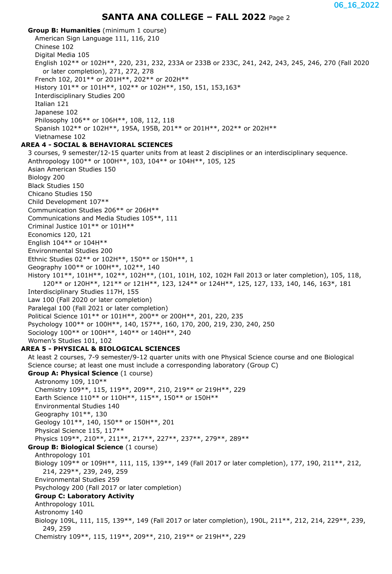## **SANTA ANA COLLEGE – FALL 2022** Page 2

**Group B: Humanities** (minimum 1 course) American Sign Language 111, 116, 210 Chinese 102 Digital Media 105 English 102\*\* or 102H\*\*, 220, 231, 232, 233A or 233B or 233C, 241, 242, 243, 245, 246, 270 (Fall 2020 or later completion), 271, 272, 278 French 102, 201\*\* or 201H\*\*, 202\*\* or 202H\*\* History 101\*\* or 101H\*\*, 102\*\* or 102H\*\*, 150, 151, 153,163\* Interdisciplinary Studies 200 Italian 121 Japanese 102 Philosophy 106\*\* or 106H\*\*, 108, 112, 118 Spanish 102\*\* or 102H\*\*, 195A, 195B, 201\*\* or 201H\*\*, 202\*\* or 202H\*\* Vietnamese 102 **AREA 4 - SOCIAL & BEHAVIORAL SCIENCES** 3 courses, 9 semester/12-15 quarter units from at least 2 disciplines or an interdisciplinary sequence. Anthropology 100\*\* or 100H\*\*, 103, 104\*\* or 104H\*\*, 105, 125 Asian American Studies 150 Biology 200 Black Studies 150 Chicano Studies 150 Child Development 107\*\* Communication Studies 206\*\* or 206H\*\* Communications and Media Studies 105\*\*, 111 Criminal Justice 101\*\* or 101H\*\* Economics 120, 121 English 104\*\* or 104H\*\* Environmental Studies 200 Ethnic Studies 02\*\* or 102H\*\*, 150\*\* or 150H\*\*, 1 Geography 100\*\* or 100H\*\*, 102\*\*, 140 History 101\*\*, 101H\*\*, 102\*\*, 102H\*\*, (101, 101H, 102, 102H Fall 2013 or later completion), 105, 118, 120\*\* or 120H\*\*, 121\*\* or 121H\*\*, 123, 124\*\* or 124H\*\*, 125, 127, 133, 140, 146, 163\*, 181 Interdisciplinary Studies 117H, 155 Law 100 (Fall 2020 or later completion) Paralegal 100 (Fall 2021 or later completion) Political Science 101\*\* or 101H\*\*, 200\*\* or 200H\*\*, 201, 220, 235 Psychology 100\*\* or 100H\*\*, 140, 157\*\*, 160, 170, 200, 219, 230, 240, 250 Sociology 100\*\* or 100H\*\*, 140\*\* or 140H\*\*, 240 Women's Studies 101, 102 **AREA 5 - PHYSICAL & BIOLOGICAL SCIENCES** At least 2 courses, 7-9 semester/9-12 quarter units with one Physical Science course and one Biological Science course; at least one must include a corresponding laboratory (Group C) **Group A: Physical Science** (1 course) Astronomy 109, 110\*\* Chemistry 109\*\*, 115, 119\*\*, 209\*\*, 210, 219\*\* or 219H\*\*, 229 Earth Science 110\*\* or 110H\*\*, 115\*\*, 150\*\* or 150H\*\* Environmental Studies 140 Geography 101\*\*, 130 Geology 101\*\*, 140, 150\*\* or 150H\*\*, 201 Physical Science 115, 117\*\* Physics 109\*\*, 210\*\*, 211\*\*, 217\*\*, 227\*\*, 237\*\*, 279\*\*, 289\*\* **Group B: Biological Science** (1 course) Anthropology 101 Biology 109\*\* or 109H\*\*, 111, 115, 139\*\*, 149 (Fall 2017 or later completion), 177, 190, 211\*\*, 212, 214, 229\*\*, 239, 249, 259 Environmental Studies 259 Psychology 200 (Fall 2017 or later completion) **Group C: Laboratory Activity** Anthropology 101L Astronomy 140 Biology 109L, 111, 115, 139\*\*, 149 (Fall 2017 or later completion), 190L, 211\*\*, 212, 214, 229\*\*, 239, 249, 259 Chemistry 109\*\*, 115, 119\*\*, 209\*\*, 210, 219\*\* or 219H\*\*, 229